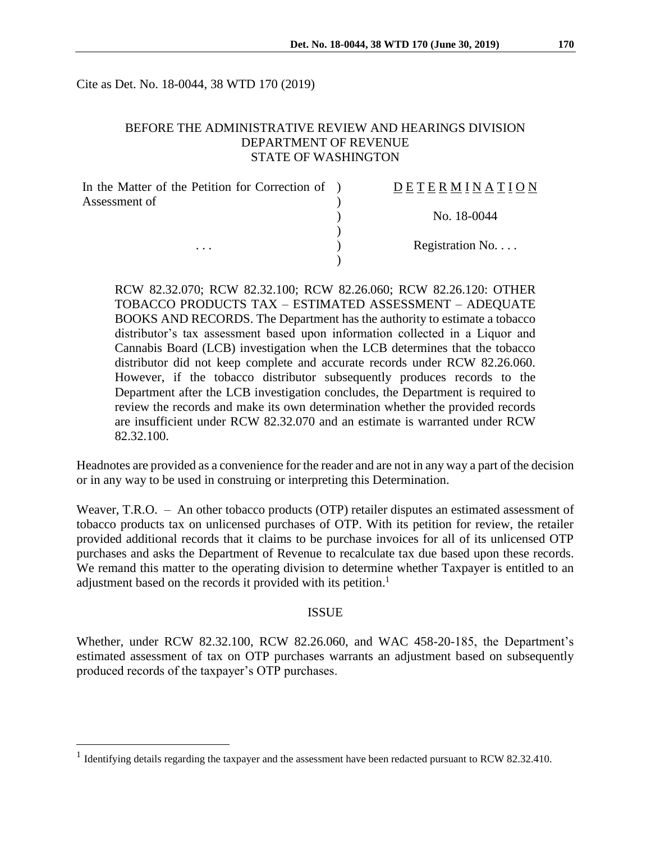Cite as Det. No. 18-0044, 38 WTD 170 (2019)

### BEFORE THE ADMINISTRATIVE REVIEW AND HEARINGS DIVISION DEPARTMENT OF REVENUE STATE OF WASHINGTON

| In the Matter of the Petition for Correction of ) | DETERMINATION            |
|---------------------------------------------------|--------------------------|
| Assessment of                                     |                          |
|                                                   | No. 18-0044              |
|                                                   |                          |
| $\cdots$                                          | Registration No. $\dots$ |
|                                                   |                          |

RCW 82.32.070; RCW 82.32.100; RCW 82.26.060; RCW 82.26.120: OTHER TOBACCO PRODUCTS TAX – ESTIMATED ASSESSMENT – ADEQUATE BOOKS AND RECORDS. The Department has the authority to estimate a tobacco distributor's tax assessment based upon information collected in a Liquor and Cannabis Board (LCB) investigation when the LCB determines that the tobacco distributor did not keep complete and accurate records under RCW 82.26.060. However, if the tobacco distributor subsequently produces records to the Department after the LCB investigation concludes, the Department is required to review the records and make its own determination whether the provided records are insufficient under RCW 82.32.070 and an estimate is warranted under RCW 82.32.100.

Headnotes are provided as a convenience for the reader and are not in any way a part of the decision or in any way to be used in construing or interpreting this Determination.

Weaver, T.R.O. – An other tobacco products (OTP) retailer disputes an estimated assessment of tobacco products tax on unlicensed purchases of OTP. With its petition for review, the retailer provided additional records that it claims to be purchase invoices for all of its unlicensed OTP purchases and asks the Department of Revenue to recalculate tax due based upon these records. We remand this matter to the operating division to determine whether Taxpayer is entitled to an adjustment based on the records it provided with its petition.<sup>1</sup>

#### ISSUE

Whether, under RCW 82.32.100, RCW 82.26.060, and WAC 458-20-185, the Department's estimated assessment of tax on OTP purchases warrants an adjustment based on subsequently produced records of the taxpayer's OTP purchases.

 $\overline{a}$ 

<sup>&</sup>lt;sup>1</sup> Identifying details regarding the taxpayer and the assessment have been redacted pursuant to RCW 82.32.410.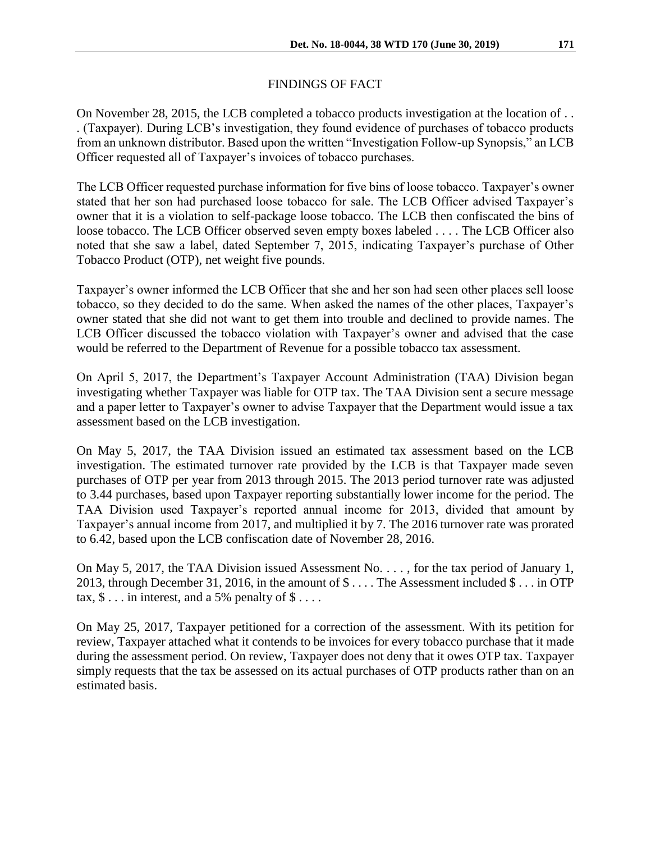## FINDINGS OF FACT

On November 28, 2015, the LCB completed a tobacco products investigation at the location of . . . (Taxpayer). During LCB's investigation, they found evidence of purchases of tobacco products from an unknown distributor. Based upon the written "Investigation Follow-up Synopsis," an LCB Officer requested all of Taxpayer's invoices of tobacco purchases.

The LCB Officer requested purchase information for five bins of loose tobacco. Taxpayer's owner stated that her son had purchased loose tobacco for sale. The LCB Officer advised Taxpayer's owner that it is a violation to self-package loose tobacco. The LCB then confiscated the bins of loose tobacco. The LCB Officer observed seven empty boxes labeled . . . . The LCB Officer also noted that she saw a label, dated September 7, 2015, indicating Taxpayer's purchase of Other Tobacco Product (OTP), net weight five pounds.

Taxpayer's owner informed the LCB Officer that she and her son had seen other places sell loose tobacco, so they decided to do the same. When asked the names of the other places, Taxpayer's owner stated that she did not want to get them into trouble and declined to provide names. The LCB Officer discussed the tobacco violation with Taxpayer's owner and advised that the case would be referred to the Department of Revenue for a possible tobacco tax assessment.

On April 5, 2017, the Department's Taxpayer Account Administration (TAA) Division began investigating whether Taxpayer was liable for OTP tax. The TAA Division sent a secure message and a paper letter to Taxpayer's owner to advise Taxpayer that the Department would issue a tax assessment based on the LCB investigation.

On May 5, 2017, the TAA Division issued an estimated tax assessment based on the LCB investigation. The estimated turnover rate provided by the LCB is that Taxpayer made seven purchases of OTP per year from 2013 through 2015. The 2013 period turnover rate was adjusted to 3.44 purchases, based upon Taxpayer reporting substantially lower income for the period. The TAA Division used Taxpayer's reported annual income for 2013, divided that amount by Taxpayer's annual income from 2017, and multiplied it by 7. The 2016 turnover rate was prorated to 6.42, based upon the LCB confiscation date of November 28, 2016.

On May 5, 2017, the TAA Division issued Assessment No. . . . , for the tax period of January 1, 2013, through December 31, 2016, in the amount of \$ . . . . The Assessment included \$ . . . in OTP tax,  $\$ \dots$  in interest, and a 5% penalty of  $\$ \dots$ .

On May 25, 2017, Taxpayer petitioned for a correction of the assessment. With its petition for review, Taxpayer attached what it contends to be invoices for every tobacco purchase that it made during the assessment period. On review, Taxpayer does not deny that it owes OTP tax. Taxpayer simply requests that the tax be assessed on its actual purchases of OTP products rather than on an estimated basis.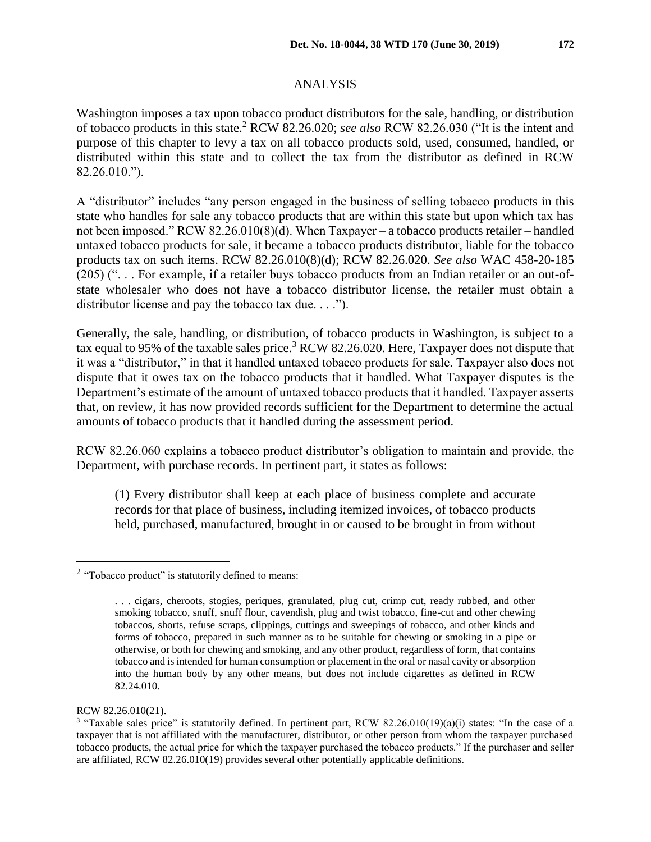### ANALYSIS

Washington imposes a tax upon tobacco product distributors for the sale, handling, or distribution of tobacco products in this state.<sup>2</sup> RCW 82.26.020; *see also* RCW 82.26.030 ("It is the intent and purpose of this chapter to levy a tax on all tobacco products sold, used, consumed, handled, or distributed within this state and to collect the tax from the distributor as defined in RCW 82.26.010.").

A "distributor" includes "any person engaged in the business of selling tobacco products in this state who handles for sale any tobacco products that are within this state but upon which tax has not been imposed." RCW 82.26.010(8)(d). When Taxpayer – a tobacco products retailer – handled untaxed tobacco products for sale, it became a tobacco products distributor, liable for the tobacco products tax on such items. RCW 82.26.010(8)(d); RCW 82.26.020. *See also* WAC 458-20-185 (205) (". . . For example, if a retailer buys tobacco products from an Indian retailer or an out-ofstate wholesaler who does not have a tobacco distributor license, the retailer must obtain a distributor license and pay the tobacco tax due. . . .").

Generally, the sale, handling, or distribution, of tobacco products in Washington, is subject to a tax equal to 95% of the taxable sales price.<sup>3</sup> RCW 82.26.020. Here, Taxpayer does not dispute that it was a "distributor," in that it handled untaxed tobacco products for sale. Taxpayer also does not dispute that it owes tax on the tobacco products that it handled. What Taxpayer disputes is the Department's estimate of the amount of untaxed tobacco products that it handled. Taxpayer asserts that, on review, it has now provided records sufficient for the Department to determine the actual amounts of tobacco products that it handled during the assessment period.

RCW 82.26.060 explains a tobacco product distributor's obligation to maintain and provide, the Department, with purchase records. In pertinent part, it states as follows:

(1) Every distributor shall keep at each place of business complete and accurate records for that place of business, including itemized invoices, of tobacco products held, purchased, manufactured, brought in or caused to be brought in from without

#### RCW 82.26.010(21).

 $\overline{a}$ 

 $2$  "Tobacco product" is statutorily defined to means:

<sup>. . .</sup> cigars, cheroots, stogies, periques, granulated, plug cut, crimp cut, ready rubbed, and other smoking tobacco, snuff, snuff flour, cavendish, plug and twist tobacco, fine-cut and other chewing tobaccos, shorts, refuse scraps, clippings, cuttings and sweepings of tobacco, and other kinds and forms of tobacco, prepared in such manner as to be suitable for chewing or smoking in a pipe or otherwise, or both for chewing and smoking, and any other product, regardless of form, that contains tobacco and is intended for human consumption or placement in the oral or nasal cavity or absorption into the human body by any other means, but does not include cigarettes as defined in RCW 82.24.010.

 $3$  "Taxable sales price" is statutorily defined. In pertinent part, RCW 82.26.010(19)(a)(i) states: "In the case of a taxpayer that is not affiliated with the manufacturer, distributor, or other person from whom the taxpayer purchased tobacco products, the actual price for which the taxpayer purchased the tobacco products." If the purchaser and seller are affiliated, RCW 82.26.010(19) provides several other potentially applicable definitions.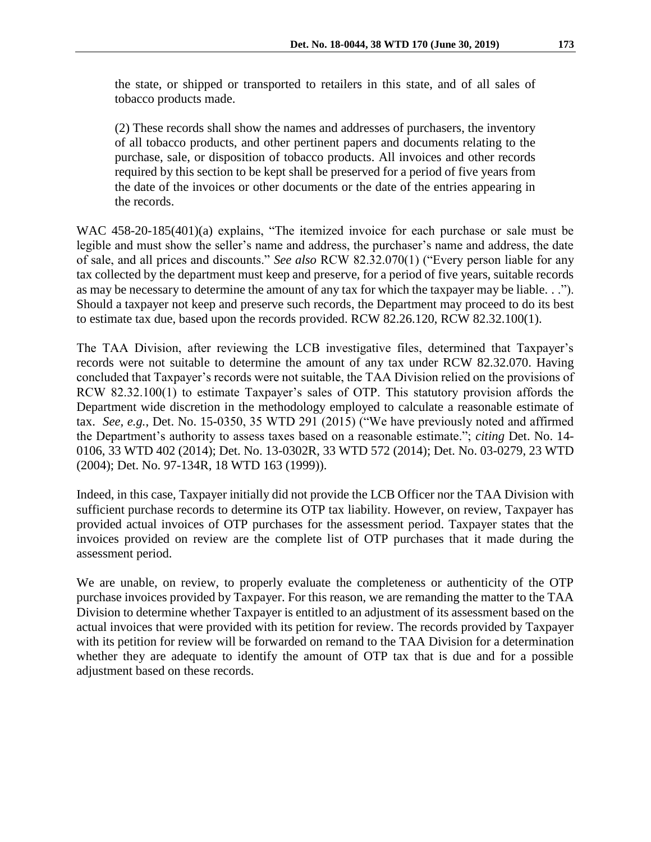the state, or shipped or transported to retailers in this state, and of all sales of tobacco products made.

(2) These records shall show the names and addresses of purchasers, the inventory of all tobacco products, and other pertinent papers and documents relating to the purchase, sale, or disposition of tobacco products. All invoices and other records required by this section to be kept shall be preserved for a period of five years from the date of the invoices or other documents or the date of the entries appearing in the records.

WAC 458-20-185(401)(a) explains, "The itemized invoice for each purchase or sale must be legible and must show the seller's name and address, the purchaser's name and address, the date of sale, and all prices and discounts." *See also* RCW 82.32.070(1) ("Every person liable for any tax collected by the department must keep and preserve, for a period of five years, suitable records as may be necessary to determine the amount of any tax for which the taxpayer may be liable. . ."). Should a taxpayer not keep and preserve such records, the Department may proceed to do its best to estimate tax due, based upon the records provided. RCW 82.26.120, RCW 82.32.100(1).

The TAA Division, after reviewing the LCB investigative files, determined that Taxpayer's records were not suitable to determine the amount of any tax under RCW 82.32.070. Having concluded that Taxpayer's records were not suitable, the TAA Division relied on the provisions of RCW 82.32.100(1) to estimate Taxpayer's sales of OTP. This statutory provision affords the Department wide discretion in the methodology employed to calculate a reasonable estimate of tax. *See, e.g.*, Det. No. 15-0350, 35 WTD 291 (2015) ("We have previously noted and affirmed the Department's authority to assess taxes based on a reasonable estimate."; *citing* Det. No. 14- 0106, 33 WTD 402 (2014); Det. No. 13-0302R, 33 WTD 572 (2014); Det. No. 03-0279, 23 WTD (2004); Det. No. 97-134R, 18 WTD 163 (1999)).

Indeed, in this case, Taxpayer initially did not provide the LCB Officer nor the TAA Division with sufficient purchase records to determine its OTP tax liability. However, on review, Taxpayer has provided actual invoices of OTP purchases for the assessment period. Taxpayer states that the invoices provided on review are the complete list of OTP purchases that it made during the assessment period.

We are unable, on review, to properly evaluate the completeness or authenticity of the OTP purchase invoices provided by Taxpayer. For this reason, we are remanding the matter to the TAA Division to determine whether Taxpayer is entitled to an adjustment of its assessment based on the actual invoices that were provided with its petition for review. The records provided by Taxpayer with its petition for review will be forwarded on remand to the TAA Division for a determination whether they are adequate to identify the amount of OTP tax that is due and for a possible adjustment based on these records.